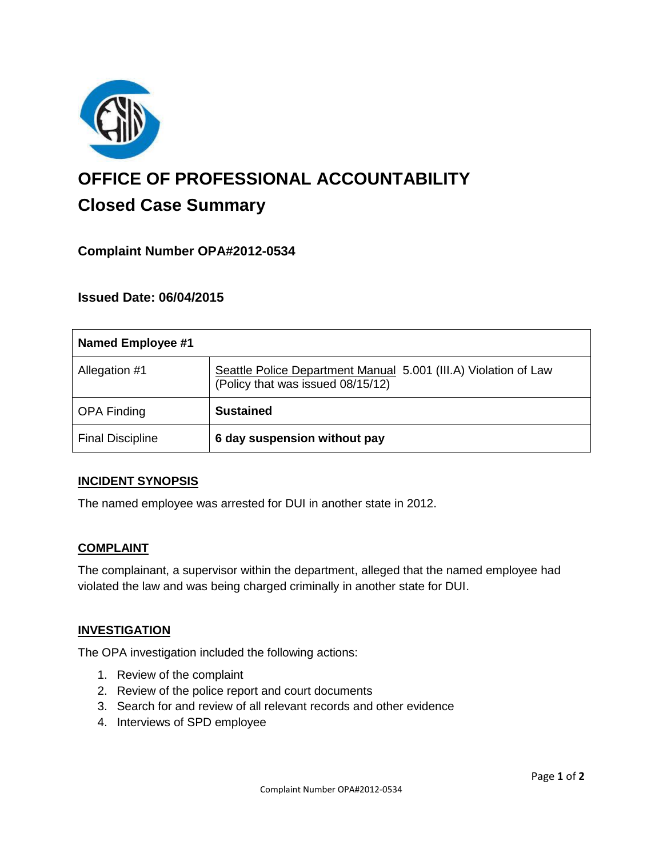

# **OFFICE OF PROFESSIONAL ACCOUNTABILITY Closed Case Summary**

# **Complaint Number OPA#2012-0534**

## **Issued Date: 06/04/2015**

| <b>Named Employee #1</b> |                                                                                                      |
|--------------------------|------------------------------------------------------------------------------------------------------|
| Allegation #1            | Seattle Police Department Manual 5.001 (III.A) Violation of Law<br>(Policy that was issued 08/15/12) |
| <b>OPA Finding</b>       | <b>Sustained</b>                                                                                     |
| <b>Final Discipline</b>  | 6 day suspension without pay                                                                         |

#### **INCIDENT SYNOPSIS**

The named employee was arrested for DUI in another state in 2012.

#### **COMPLAINT**

The complainant, a supervisor within the department, alleged that the named employee had violated the law and was being charged criminally in another state for DUI.

#### **INVESTIGATION**

The OPA investigation included the following actions:

- 1. Review of the complaint
- 2. Review of the police report and court documents
- 3. Search for and review of all relevant records and other evidence
- 4. Interviews of SPD employee